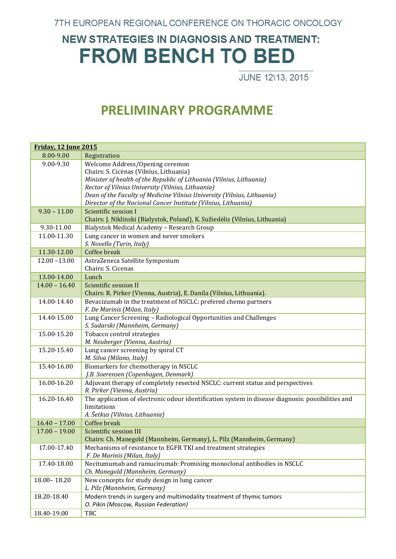7TH EUROPEAN REGIONAL CONFERENCE ON THORACIC ONCOLOGY

## **NEW STRATEGIES IN DIAGNOSIS AND TREATMENT: FROM BENCH TO BED**

JUNE 12\13, 2015

## **PRELIMINARY PROGRAMME**

| <b>Friday, 12 June 2015</b> |                                                                                                   |
|-----------------------------|---------------------------------------------------------------------------------------------------|
| 8.00-9.00                   | Registration                                                                                      |
| 9.00-9.30                   | Welcome Address/Opening ceremon                                                                   |
|                             | Chairs: S. Cicenas (Vilnius, Lithuania)                                                           |
|                             | Minister of health of the Republic of Lithuania (Vilnius, Lithuania)                              |
|                             | Rector of Vilnius University (Vilnius, Lithuania)                                                 |
|                             | Dean of the Faculty of Medicine Vilnius University (Vilnius, Lithuania)                           |
|                             | Director of the Nacional Cancer Institute (Vilnius, Lithuania)                                    |
| $9.30 - 11.00$              | Scientific session I                                                                              |
|                             | Chairs: J. Niklinski (Bialystok, Poland), K. Sužiedėlis (Vilnius, Lithuania)                      |
| 9.30-11.00                  | Bialystok Medical Academy - Research Group                                                        |
| 11.00-11.30                 | Lung cancer in women and never smokers                                                            |
|                             | S. Novello (Turin, Italy)                                                                         |
| 11.30-12.00                 | Coffee break                                                                                      |
| $12.00 - 13.00$             | AstraZeneca Satellite Symposium                                                                   |
|                             | Chairs: S. Cicenas                                                                                |
| 13.00-14.00                 | Lunch                                                                                             |
| $14.00 - 16.40$             | Scientific session II                                                                             |
|                             | Chairs: R. Pirker (Vienna, Austria), E. Danila (Vilnius, Lithuania).                              |
| 14.00-14.40                 | Bevacizumab in the treatment of NSCLC: prefered chemo partners                                    |
|                             | F. De Marinis (Milan, Italy)                                                                      |
| 14.40-15.00                 | Lung Cancer Screening - Radiological Opportunities and Challenges                                 |
|                             | S. Sudarski (Mannheim, Germany)                                                                   |
| 15.00-15.20                 | Tobacco control strategies                                                                        |
|                             | M. Neuberger (Vienna, Austria)                                                                    |
| 15.20-15.40                 | Lung cancer screening by spiral CT                                                                |
|                             | M. Silva (Milano, Italy)                                                                          |
| 15.40-16.00                 | Biomarkers for chemotherapy in NSCLC                                                              |
|                             | J.B. Soerensen (Copenhagen, Denmark)                                                              |
| 16.00-16.20                 | Adjuvant therapy of completely resected NSCLC: current status and perspectives                    |
|                             | R. Pirker (Vienna, Austria)                                                                       |
| 16.20-16.40                 | The application of electronic odour identification system in disease diagnosis: possibilities and |
|                             | limitations                                                                                       |
|                             | A. Šetkus (Vilnius, Lithuania)                                                                    |
| $16.40 - 17.00$             | Coffee break                                                                                      |
| $17.00 - 19.00$             | Scientific session III                                                                            |
|                             | Chairs: Ch. Manegold (Mannheim, Germany), L. Pilz (Mannheim, Germany)                             |
| 17.00-17.40                 | Mechanisms of resistance to EGFR TKI and treatment strategies                                     |
|                             | F. De Marinis (Milan, Italy)                                                                      |
| 17.40-18.00                 | Necitumumab and ramucirumab: Promising monoclonal antibodies in NSCLC                             |
|                             | Ch. Manegold (Mannheim, Germany)                                                                  |
| $18.00 - 18.20$             | New concepts for study design in lung cancer                                                      |
|                             | L. Pilz (Mannheim, Germany)                                                                       |
| 18.20-18.40                 | Modern trends in surgery and multimodality treatment of thymic tumors                             |
|                             | O. Pikin (Moscow, Russian Federation)                                                             |
| 18.40-19.00                 | TBC                                                                                               |